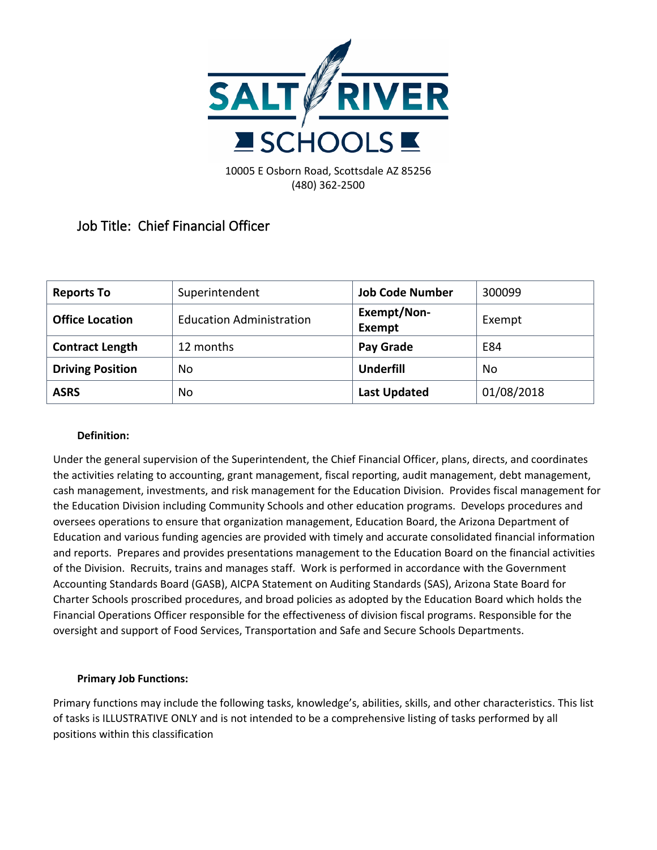

**Job Title: Chief Financial Officer**

| <b>Reports To</b>       | Superintendent                  | <b>Job Code Number</b> | 300099     |
|-------------------------|---------------------------------|------------------------|------------|
| <b>Office Location</b>  | <b>Education Administration</b> | Exempt/Non-<br>Exempt  | Exempt     |
| <b>Contract Length</b>  | 12 months                       | Pay Grade              | E84        |
| <b>Driving Position</b> | No.                             | <b>Underfill</b>       | No         |
| <b>ASRS</b>             | No                              | <b>Last Updated</b>    | 01/08/2018 |

## **Definition:**

Under the general supervision of the Superintendent, the Chief Financial Officer, plans, directs, and coordinates the activities relating to accounting, grant management, fiscal reporting, audit management, debt management, cash management, investments, and risk management for the Education Division. Provides fiscal management for the Education Division including Community Schools and other education programs. Develops procedures and oversees operations to ensure that organization management, Education Board, the Arizona Department of Education and various funding agencies are provided with timely and accurate consolidated financial information and reports. Prepares and provides presentations management to the Education Board on the financial activities of the Division. Recruits, trains and manages staff. Work is performed in accordance with the Government Accounting Standards Board (GASB), AICPA Statement on Auditing Standards (SAS), Arizona State Board for Charter Schools proscribed procedures, and broad policies as adopted by the Education Board which holds the Financial Operations Officer responsible for the effectiveness of division fiscal programs. Responsible for the oversight and support of Food Services, Transportation and Safe and Secure Schools Departments.

## **Primary Job Functions:**

Primary functions may include the following tasks, knowledge's, abilities, skills, and other characteristics. This list of tasks is ILLUSTRATIVE ONLY and is not intended to be a comprehensive listing of tasks performed by all positions within this classification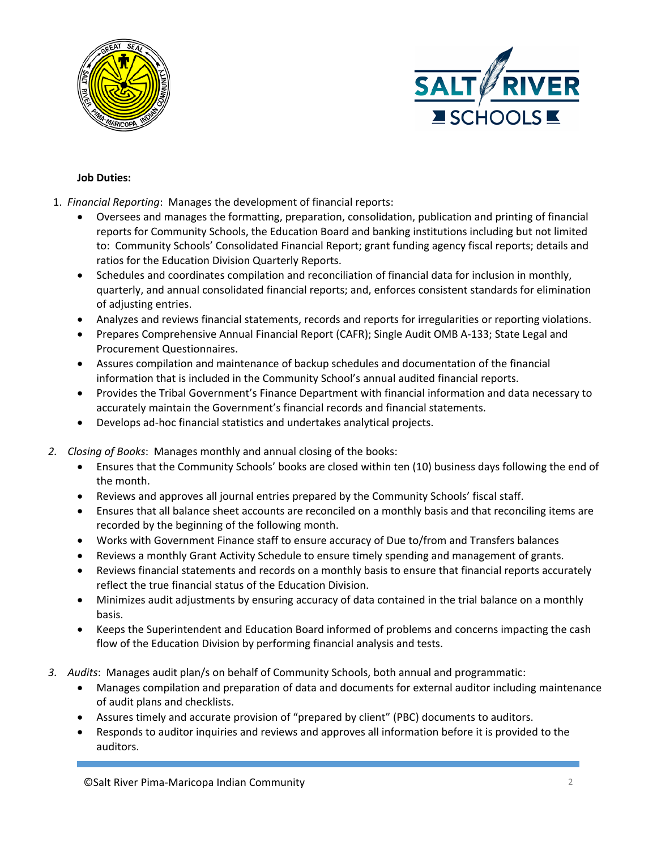



## **Job Duties:**

- 1. *Financial Reporting*: Manages the development of financial reports:
	- Oversees and manages the formatting, preparation, consolidation, publication and printing of financial reports for Community Schools, the Education Board and banking institutions including but not limited to: Community Schools' Consolidated Financial Report; grant funding agency fiscal reports; details and ratios for the Education Division Quarterly Reports.
	- Schedules and coordinates compilation and reconciliation of financial data for inclusion in monthly, quarterly, and annual consolidated financial reports; and, enforces consistent standards for elimination of adjusting entries.
	- Analyzes and reviews financial statements, records and reports for irregularities or reporting violations.
	- Prepares Comprehensive Annual Financial Report (CAFR); Single Audit OMB A-133; State Legal and Procurement Questionnaires.
	- Assures compilation and maintenance of backup schedules and documentation of the financial information that is included in the Community School's annual audited financial reports.
	- Provides the Tribal Government's Finance Department with financial information and data necessary to accurately maintain the Government's financial records and financial statements.
	- Develops ad-hoc financial statistics and undertakes analytical projects.
- *2. Closing of Books*: Manages monthly and annual closing of the books:
	- Ensures that the Community Schools' books are closed within ten (10) business days following the end of the month.
	- Reviews and approves all journal entries prepared by the Community Schools' fiscal staff.
	- Ensures that all balance sheet accounts are reconciled on a monthly basis and that reconciling items are recorded by the beginning of the following month.
	- Works with Government Finance staff to ensure accuracy of Due to/from and Transfers balances
	- Reviews a monthly Grant Activity Schedule to ensure timely spending and management of grants.
	- Reviews financial statements and records on a monthly basis to ensure that financial reports accurately reflect the true financial status of the Education Division.
	- Minimizes audit adjustments by ensuring accuracy of data contained in the trial balance on a monthly basis.
	- Keeps the Superintendent and Education Board informed of problems and concerns impacting the cash flow of the Education Division by performing financial analysis and tests.
- *3. Audits*: Manages audit plan/s on behalf of Community Schools, both annual and programmatic:
	- Manages compilation and preparation of data and documents for external auditor including maintenance of audit plans and checklists.
	- Assures timely and accurate provision of "prepared by client" (PBC) documents to auditors.
	- Responds to auditor inquiries and reviews and approves all information before it is provided to the auditors.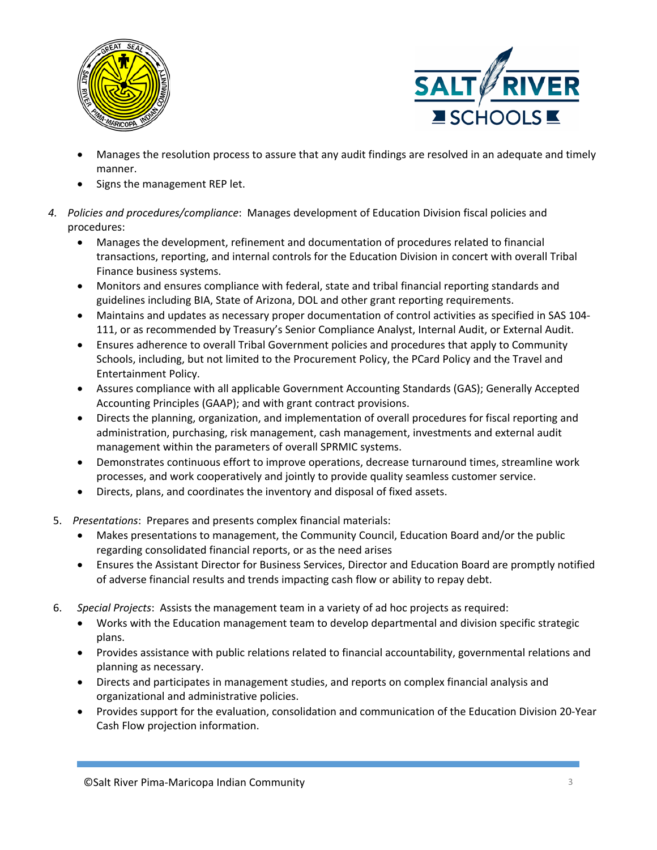



- Manages the resolution process to assure that any audit findings are resolved in an adequate and timely manner.
- Signs the management REP let.
- *4. Policies and procedures/compliance*: Manages development of Education Division fiscal policies and procedures:
	- Manages the development, refinement and documentation of procedures related to financial transactions, reporting, and internal controls for the Education Division in concert with overall Tribal Finance business systems.
	- Monitors and ensures compliance with federal, state and tribal financial reporting standards and guidelines including BIA, State of Arizona, DOL and other grant reporting requirements.
	- Maintains and updates as necessary proper documentation of control activities as specified in SAS 104- 111, or as recommended by Treasury's Senior Compliance Analyst, Internal Audit, or External Audit.
	- Ensures adherence to overall Tribal Government policies and procedures that apply to Community Schools, including, but not limited to the Procurement Policy, the PCard Policy and the Travel and Entertainment Policy.
	- Assures compliance with all applicable Government Accounting Standards (GAS); Generally Accepted Accounting Principles (GAAP); and with grant contract provisions.
	- Directs the planning, organization, and implementation of overall procedures for fiscal reporting and administration, purchasing, risk management, cash management, investments and external audit management within the parameters of overall SPRMIC systems.
	- Demonstrates continuous effort to improve operations, decrease turnaround times, streamline work processes, and work cooperatively and jointly to provide quality seamless customer service.
	- Directs, plans, and coordinates the inventory and disposal of fixed assets.
- 5. *Presentations*: Prepares and presents complex financial materials:
	- Makes presentations to management, the Community Council, Education Board and/or the public regarding consolidated financial reports, or as the need arises
	- Ensures the Assistant Director for Business Services, Director and Education Board are promptly notified of adverse financial results and trends impacting cash flow or ability to repay debt.
- 6. *Special Projects*: Assists the management team in a variety of ad hoc projects as required:
	- Works with the Education management team to develop departmental and division specific strategic plans.
	- Provides assistance with public relations related to financial accountability, governmental relations and planning as necessary.
	- Directs and participates in management studies, and reports on complex financial analysis and organizational and administrative policies.
	- Provides support for the evaluation, consolidation and communication of the Education Division 20-Year Cash Flow projection information.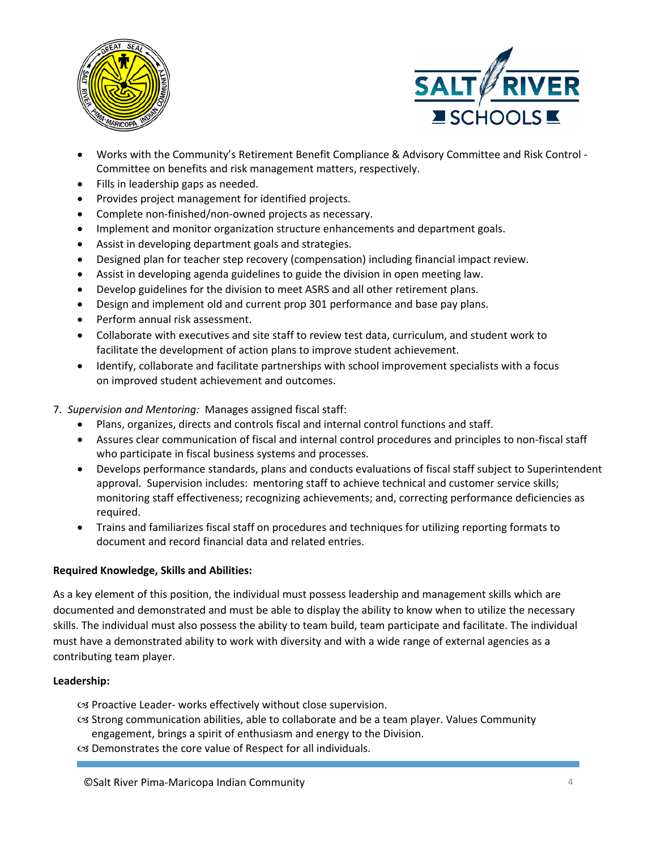



- Works with the Community's Retirement Benefit Compliance & Advisory Committee and Risk Control Committee on benefits and risk management matters, respectively.
- Fills in leadership gaps as needed.
- Provides project management for identified projects.
- Complete non-finished/non-owned projects as necessary.
- Implement and monitor organization structure enhancements and department goals.
- Assist in developing department goals and strategies.
- Designed plan for teacher step recovery (compensation) including financial impact review.
- Assist in developing agenda guidelines to guide the division in open meeting law.
- Develop guidelines for the division to meet ASRS and all other retirement plans.
- Design and implement old and current prop 301 performance and base pay plans.
- Perform annual risk assessment.
- Collaborate with executives and site staff to review test data, curriculum, and student work to facilitate the development of action plans to improve student achievement.
- Identify, collaborate and facilitate partnerships with school improvement specialists with a focus on improved student achievement and outcomes.
- 7. *Supervision and Mentoring:* Manages assigned fiscal staff:
	- Plans, organizes, directs and controls fiscal and internal control functions and staff.
	- Assures clear communication of fiscal and internal control procedures and principles to non-fiscal staff who participate in fiscal business systems and processes.
	- Develops performance standards, plans and conducts evaluations of fiscal staff subject to Superintendent approval. Supervision includes: mentoring staff to achieve technical and customer service skills; monitoring staff effectiveness; recognizing achievements; and, correcting performance deficiencies as required.
	- Trains and familiarizes fiscal staff on procedures and techniques for utilizing reporting formats to document and record financial data and related entries.

## **Required Knowledge, Skills and Abilities:**

As a key element of this position, the individual must possess leadership and management skills which are documented and demonstrated and must be able to display the ability to know when to utilize the necessary skills. The individual must also possess the ability to team build, team participate and facilitate. The individual must have a demonstrated ability to work with diversity and with a wide range of external agencies as a contributing team player.

## **Leadership:**

- $\infty$  Proactive Leader- works effectively without close supervision.
- Strong communication abilities, able to collaborate and be a team player. Values Community engagement, brings a spirit of enthusiasm and energy to the Division.
- Demonstrates the core value of Respect for all individuals.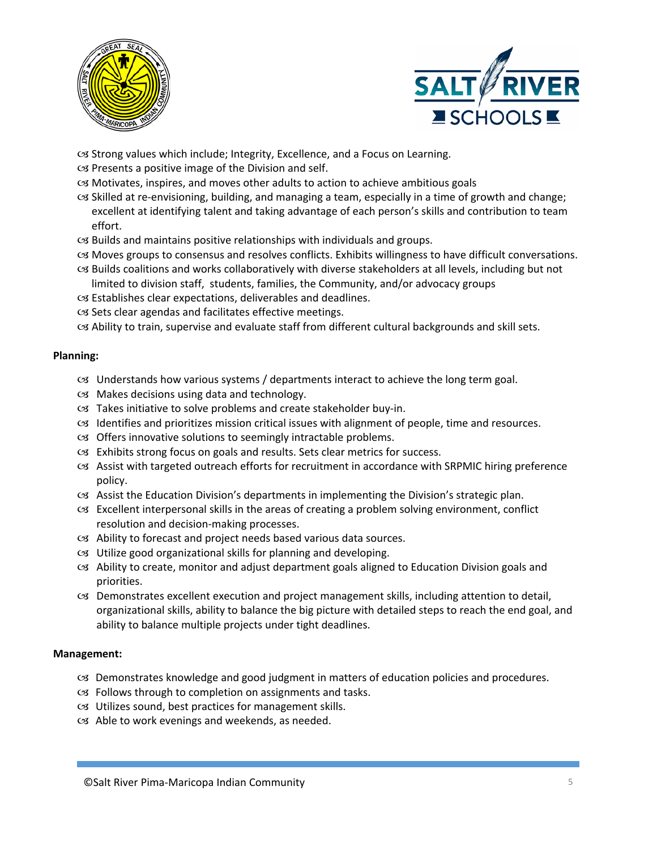



Strong values which include; Integrity, Excellence, and a Focus on Learning.

- $\infty$  Presents a positive image of the Division and self.
- Motivates, inspires, and moves other adults to action to achieve ambitious goals
- $\infty$  Skilled at re-envisioning, building, and managing a team, especially in a time of growth and change; excellent at identifying talent and taking advantage of each person's skills and contribution to team effort.
- $\alpha$  Builds and maintains positive relationships with individuals and groups.
- Moves groups to consensus and resolves conflicts. Exhibits willingness to have difficult conversations.
- Builds coalitions and works collaboratively with diverse stakeholders at all levels, including but not limited to division staff, students, families, the Community, and/or advocacy groups
- Establishes clear expectations, deliverables and deadlines.
- cs Sets clear agendas and facilitates effective meetings.

cs Ability to train, supervise and evaluate staff from different cultural backgrounds and skill sets.

## **Planning:**

- Understands how various systems / departments interact to achieve the long term goal.
- Makes decisions using data and technology.
- Takes initiative to solve problems and create stakeholder buy-in.
- Identifies and prioritizes mission critical issues with alignment of people, time and resources.
- Offers innovative solutions to seemingly intractable problems.
- Exhibits strong focus on goals and results. Sets clear metrics for success.
- Assist with targeted outreach efforts for recruitment in accordance with SRPMIC hiring preference policy.
- Assist the Education Division's departments in implementing the Division's strategic plan.
- Excellent interpersonal skills in the areas of creating a problem solving environment, conflict resolution and decision-making processes.
- Ability to forecast and project needs based various data sources.
- Utilize good organizational skills for planning and developing.
- Ability to create, monitor and adjust department goals aligned to Education Division goals and priorities.
- Demonstrates excellent execution and project management skills, including attention to detail, organizational skills, ability to balance the big picture with detailed steps to reach the end goal, and ability to balance multiple projects under tight deadlines.

## **Management:**

- Demonstrates knowledge and good judgment in matters of education policies and procedures.
- $C3$  Follows through to completion on assignments and tasks.
- Utilizes sound, best practices for management skills.
- Able to work evenings and weekends, as needed.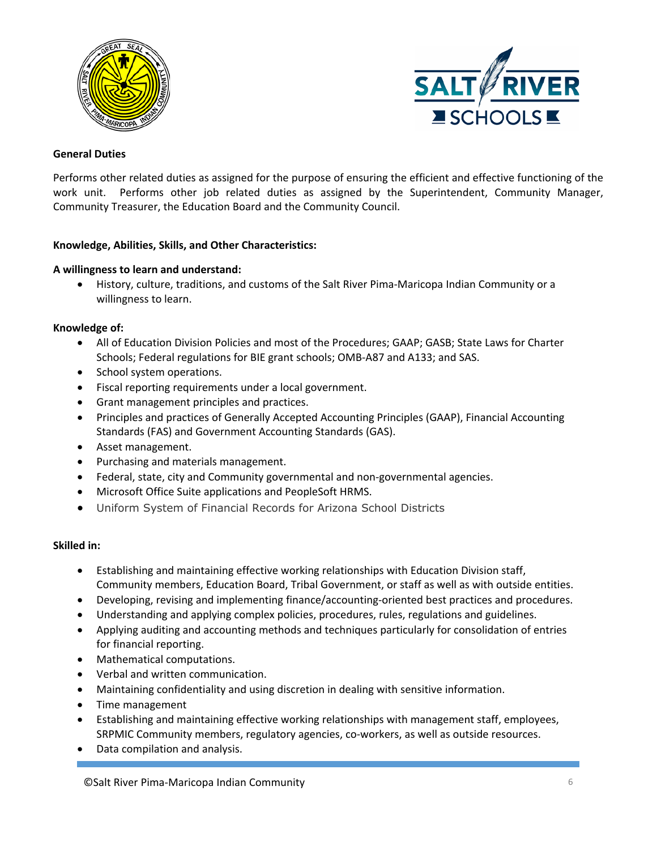



## **General Duties**

Performs other related duties as assigned for the purpose of ensuring the efficient and effective functioning of the work unit. Performs other job related duties as assigned by the Superintendent, Community Manager, Community Treasurer, the Education Board and the Community Council.

## **Knowledge, Abilities, Skills, and Other Characteristics:**

## **A willingness to learn and understand:**

 History, culture, traditions, and customs of the Salt River Pima-Maricopa Indian Community or a willingness to learn.

## **Knowledge of:**

- All of Education Division Policies and most of the Procedures; GAAP; GASB; State Laws for Charter Schools; Federal regulations for BIE grant schools; OMB-A87 and A133; and SAS.
- School system operations.
- Fiscal reporting requirements under a local government.
- Grant management principles and practices.
- Principles and practices of Generally Accepted Accounting Principles (GAAP), Financial Accounting Standards (FAS) and Government Accounting Standards (GAS).
- Asset management.
- Purchasing and materials management.
- Federal, state, city and Community governmental and non-governmental agencies.
- Microsoft Office Suite applications and PeopleSoft HRMS.
- Uniform System of Financial Records for Arizona School Districts

#### **Skilled in:**

- Establishing and maintaining effective working relationships with Education Division staff, Community members, Education Board, Tribal Government, or staff as well as with outside entities.
- Developing, revising and implementing finance/accounting-oriented best practices and procedures.
- Understanding and applying complex policies, procedures, rules, regulations and guidelines.
- Applying auditing and accounting methods and techniques particularly for consolidation of entries for financial reporting.
- Mathematical computations.
- Verbal and written communication.
- Maintaining confidentiality and using discretion in dealing with sensitive information.
- Time management
- Establishing and maintaining effective working relationships with management staff, employees, SRPMIC Community members, regulatory agencies, co-workers, as well as outside resources.
- Data compilation and analysis.

©Salt River Pima-Maricopa Indian Community 6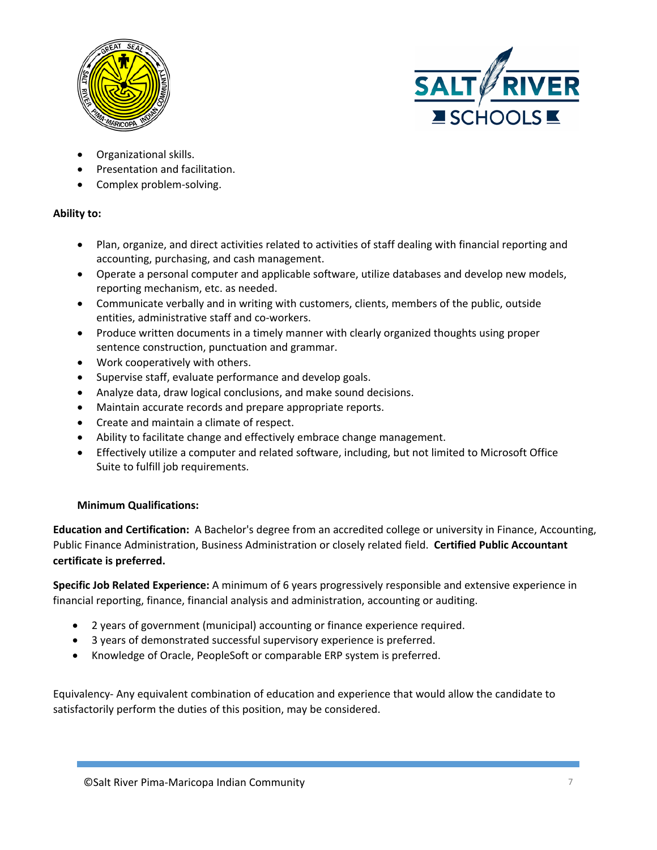



- Organizational skills.
- Presentation and facilitation.
- Complex problem-solving.

## **Ability to:**

- Plan, organize, and direct activities related to activities of staff dealing with financial reporting and accounting, purchasing, and cash management.
- Operate a personal computer and applicable software, utilize databases and develop new models, reporting mechanism, etc. as needed.
- Communicate verbally and in writing with customers, clients, members of the public, outside entities, administrative staff and co-workers.
- Produce written documents in a timely manner with clearly organized thoughts using proper sentence construction, punctuation and grammar.
- Work cooperatively with others.
- Supervise staff, evaluate performance and develop goals.
- Analyze data, draw logical conclusions, and make sound decisions.
- Maintain accurate records and prepare appropriate reports.
- Create and maintain a climate of respect.
- Ability to facilitate change and effectively embrace change management.
- Effectively utilize a computer and related software, including, but not limited to Microsoft Office Suite to fulfill job requirements.

## **Minimum Qualifications:**

**Education and Certification:** A Bachelor's degree from an accredited college or university in Finance, Accounting, Public Finance Administration, Business Administration or closely related field. **Certified Public Accountant certificate is preferred.**

**Specific Job Related Experience:** A minimum of 6 years progressively responsible and extensive experience in financial reporting, finance, financial analysis and administration, accounting or auditing.

- 2 years of government (municipal) accounting or finance experience required.
- 3 years of demonstrated successful supervisory experience is preferred.
- Knowledge of Oracle, PeopleSoft or comparable ERP system is preferred.

Equivalency- Any equivalent combination of education and experience that would allow the candidate to satisfactorily perform the duties of this position, may be considered.